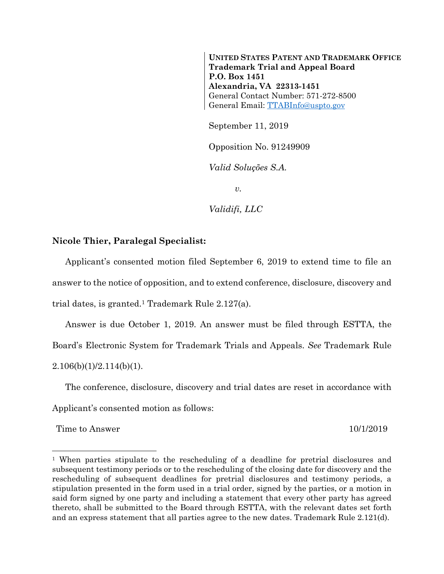**UNITED STATES PATENT AND TRADEMARK OFFICE Trademark Trial and Appeal Board P.O. Box 1451 Alexandria, VA 22313-1451**  General Contact Number: 571-272-8500 General Email: TTABInfo@uspto.gov

September 11, 2019

Opposition No. 91249909

*Valid Soluções S.A.* 

 $v<sub>l</sub>$ 

*Validifi, LLC* 

## **Nicole Thier, Paralegal Specialist:**

Applicant's consented motion filed September 6, 2019 to extend time to file an answer to the notice of opposition, and to extend conference, disclosure, discovery and trial dates, is granted.1 Trademark Rule 2.127(a).

Answer is due October 1, 2019. An answer must be filed through ESTTA, the Board's Electronic System for Trademark Trials and Appeals. *See* Trademark Rule  $2.106(b)(1)/2.114(b)(1)$ .

The conference, disclosure, discovery and trial dates are reset in accordance with Applicant's consented motion as follows:

Time to Answer 10/1/2019

 $\overline{a}$ 

<sup>1</sup> When parties stipulate to the rescheduling of a deadline for pretrial disclosures and subsequent testimony periods or to the rescheduling of the closing date for discovery and the rescheduling of subsequent deadlines for pretrial disclosures and testimony periods, a stipulation presented in the form used in a trial order, signed by the parties, or a motion in said form signed by one party and including a statement that every other party has agreed thereto, shall be submitted to the Board through ESTTA, with the relevant dates set forth and an express statement that all parties agree to the new dates. Trademark Rule 2.121(d).